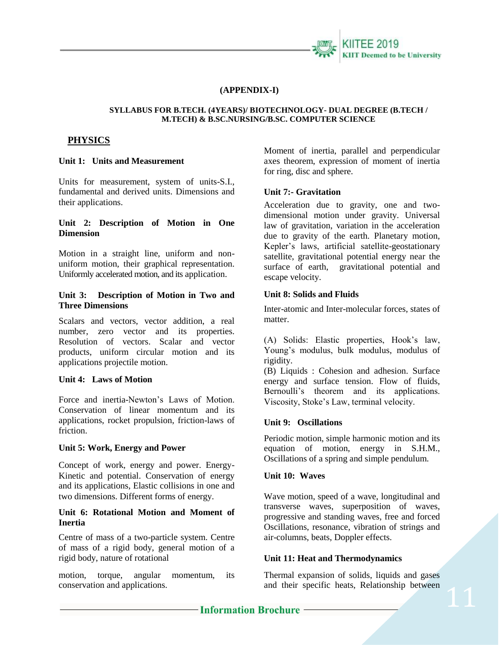

### **(APPENDIX-I)**

#### **SYLLABUS FOR B.TECH. (4YEARS)/ BIOTECHNOLOGY- DUAL DEGREE (B.TECH / M.TECH) & B.SC.NURSING/B.SC. COMPUTER SCIENCE**

# **PHYSICS**

#### **Unit 1: Units and Measurement**

Units for measurement, system of units-S.I., fundamental and derived units. Dimensions and their applications.

### **Unit 2: Description of Motion in One Dimension**

Motion in a straight line, uniform and nonuniform motion, their graphical representation. Uniformly accelerated motion, and its application.

### **Unit 3: Description of Motion in Two and Three Dimensions**

Scalars and vectors, vector addition, a real number, zero vector and its properties. Resolution of vectors. Scalar and vector products, uniform circular motion and its applications projectile motion.

#### **Unit 4: Laws of Motion**

Force and inertia-Newton's Laws of Motion. Conservation of linear momentum and its applications, rocket propulsion, friction-laws of friction.

### **Unit 5: Work, Energy and Power**

Concept of work, energy and power. Energy-Kinetic and potential. Conservation of energy and its applications, Elastic collisions in one and two dimensions. Different forms of energy.

### **Unit 6: Rotational Motion and Moment of Inertia**

Centre of mass of a two-particle system. Centre of mass of a rigid body, general motion of a rigid body, nature of rotational

motion, torque, angular momentum, its conservation and applications.

Moment of inertia, parallel and perpendicular axes theorem, expression of moment of inertia for ring, disc and sphere.

### **Unit 7:- Gravitation**

Acceleration due to gravity, one and twodimensional motion under gravity. Universal law of gravitation, variation in the acceleration due to gravity of the earth. Planetary motion, Kepler's laws, artificial satellite-geostationary satellite, gravitational potential energy near the surface of earth, gravitational potential and escape velocity.

#### **Unit 8: Solids and Fluids**

Inter-atomic and Inter-molecular forces, states of matter.

(A) Solids: Elastic properties, Hook's law, Young's modulus, bulk modulus, modulus of rigidity.

(B) Liquids : Cohesion and adhesion. Surface energy and surface tension. Flow of fluids, Bernoulli's theorem and its applications. Viscosity, Stoke's Law, terminal velocity.

### **Unit 9: Oscillations**

Periodic motion, simple harmonic motion and its equation of motion, energy in S.H.M., Oscillations of a spring and simple pendulum.

### **Unit 10: Waves**

Wave motion, speed of a wave, longitudinal and transverse waves, superposition of waves, progressive and standing waves, free and forced Oscillations, resonance, vibration of strings and air-columns, beats, Doppler effects.

### **Unit 11: Heat and Thermodynamics**

Thermal expansion of solids, liquids and gases and their specific heats, Relationship between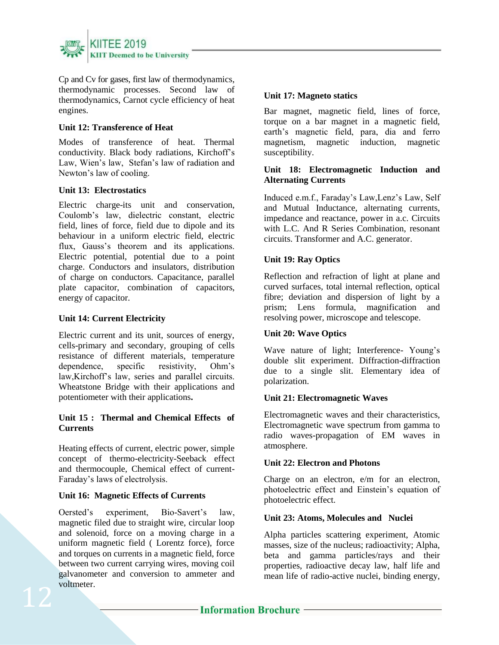

Cp and Cv for gases, first law of thermodynamics, thermodynamic processes. Second law of thermodynamics, Carnot cycle efficiency of heat engines.

### **Unit 12: Transference of Heat**

Modes of transference of heat. Thermal conductivity. Black body radiations, Kirchoff's Law, Wien's law, Stefan's law of radiation and Newton's law of cooling.

### **Unit 13: Electrostatics**

Electric charge-its unit and conservation, Coulomb's law, dielectric constant, electric field, lines of force, field due to dipole and its behaviour in a uniform electric field, electric flux, Gauss's theorem and its applications. Electric potential, potential due to a point charge. Conductors and insulators, distribution of charge on conductors. Capacitance, parallel plate capacitor, combination of capacitors, energy of capacitor.

### **Unit 14: Current Electricity**

Electric current and its unit, sources of energy, cells-primary and secondary, grouping of cells resistance of different materials, temperature dependence, specific resistivity, Ohm's law,Kirchoff's law, series and parallel circuits. Wheatstone Bridge with their applications and potentiometer with their applications**.** 

### **Unit 15 : Thermal and Chemical Effects of Currents**

Heating effects of current, electric power, simple concept of thermo-electricity-Seeback effect and thermocouple, Chemical effect of current-Faraday's laws of electrolysis.

### **Unit 16: Magnetic Effects of Currents**

Oersted's experiment, Bio-Savert's law, magnetic filed due to straight wire, circular loop and solenoid, force on a moving charge in a uniform magnetic field ( Lorentz force), force and torques on currents in a magnetic field, force between two current carrying wires, moving coil galvanometer and conversion to ammeter and voltmeter.

### **Unit 17: Magneto statics**

Bar magnet, magnetic field, lines of force, torque on a bar magnet in a magnetic field, earth's magnetic field, para, dia and ferro magnetism, magnetic induction, magnetic susceptibility.

### **Unit 18: Electromagnetic Induction and Alternating Currents**

Induced e.m.f., Faraday's Law,Lenz's Law, Self and Mutual Inductance, alternating currents, impedance and reactance, power in a.c. Circuits with L.C. And R Series Combination, resonant circuits. Transformer and A.C. generator.

## **Unit 19: Ray Optics**

Reflection and refraction of light at plane and curved surfaces, total internal reflection, optical fibre; deviation and dispersion of light by a prism; Lens formula, magnification and resolving power, microscope and telescope.

### **Unit 20: Wave Optics**

Wave nature of light; Interference- Young's double slit experiment. Diffraction-diffraction due to a single slit. Elementary idea of polarization.

### **Unit 21: Electromagnetic Waves**

Electromagnetic waves and their characteristics, Electromagnetic wave spectrum from gamma to radio waves-propagation of EM waves in atmosphere.

### **Unit 22: Electron and Photons**

Charge on an electron, e/m for an electron, photoelectric effect and Einstein's equation of photoelectric effect.

### **Unit 23: Atoms, Molecules and Nuclei**

Alpha particles scattering experiment, Atomic masses, size of the nucleus; radioactivity; Alpha, beta and gamma particles/rays and their properties, radioactive decay law, half life and mean life of radio-active nuclei, binding energy,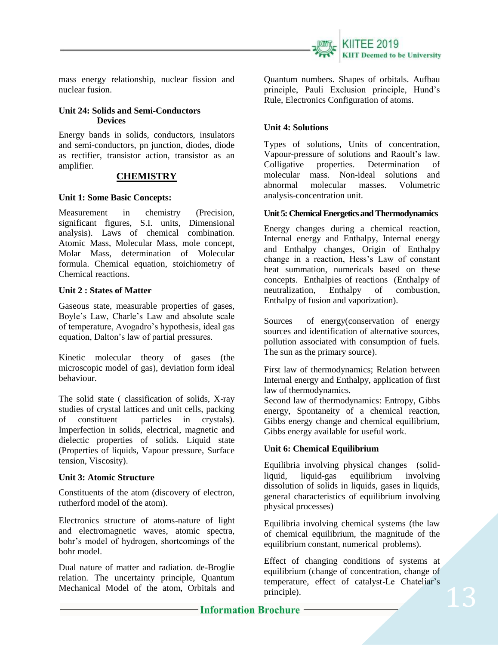

mass energy relationship, nuclear fission and nuclear fusion.

### **Unit 24: Solids and Semi-Conductors Devices**

Energy bands in solids, conductors, insulators and semi-conductors, pn junction, diodes, diode as rectifier, transistor action, transistor as an amplifier.

## **CHEMISTRY**

### **Unit 1: Some Basic Concepts:**

Measurement in chemistry (Precision, significant figures, S.I. units, Dimensional analysis). Laws of chemical combination. Atomic Mass, Molecular Mass, mole concept, Molar Mass, determination of Molecular formula. Chemical equation, stoichiometry of Chemical reactions.

### **Unit 2 : States of Matter**

Gaseous state, measurable properties of gases, Boyle's Law, Charle's Law and absolute scale of temperature, Avogadro's hypothesis, ideal gas equation, Dalton's law of partial pressures.

Kinetic molecular theory of gases (the microscopic model of gas), deviation form ideal behaviour.

The solid state ( classification of solids, X-ray studies of crystal lattices and unit cells, packing of constituent particles in crystals). Imperfection in solids, electrical, magnetic and dielectic properties of solids. Liquid state (Properties of liquids, Vapour pressure, Surface tension, Viscosity).

### **Unit 3: Atomic Structure**

Constituents of the atom (discovery of electron, rutherford model of the atom).

Electronics structure of atoms-nature of light and electromagnetic waves, atomic spectra, bohr's model of hydrogen, shortcomings of the bohr model.

Dual nature of matter and radiation. de-Broglie relation. The uncertainty principle, Quantum Mechanical Model of the atom, Orbitals and Quantum numbers. Shapes of orbitals. Aufbau principle, Pauli Exclusion principle, Hund's Rule, Electronics Configuration of atoms.

### **Unit 4: Solutions**

Types of solutions, Units of concentration, Vapour-pressure of solutions and Raoult's law. Colligative properties. Determination of molecular mass. Non-ideal solutions and abnormal molecular masses. Volumetric analysis-concentration unit.

#### **Unit 5: Chemical Energetics and Thermodynamics**

Energy changes during a chemical reaction, Internal energy and Enthalpy, Internal energy and Enthalpy changes, Origin of Enthalpy change in a reaction, Hess's Law of constant heat summation, numericals based on these concepts. Enthalpies of reactions (Enthalpy of neutralization, Enthalpy of combustion, Enthalpy of fusion and vaporization).

Sources of energy(conservation of energy sources and identification of alternative sources, pollution associated with consumption of fuels. The sun as the primary source).

First law of thermodynamics; Relation between Internal energy and Enthalpy, application of first law of thermodynamics.

Second law of thermodynamics: Entropy, Gibbs energy, Spontaneity of a chemical reaction, Gibbs energy change and chemical equilibrium, Gibbs energy available for useful work.

### **Unit 6: Chemical Equilibrium**

Equilibria involving physical changes (solidliquid, liquid-gas equilibrium involving dissolution of solids in liquids, gases in liquids, general characteristics of equilibrium involving physical processes)

Equilibria involving chemical systems (the law of chemical equilibrium, the magnitude of the equilibrium constant, numerical problems).

Effect of changing conditions of systems at equilibrium (change of concentration, change of temperature, effect of catalyst-Le Chateliar's principle).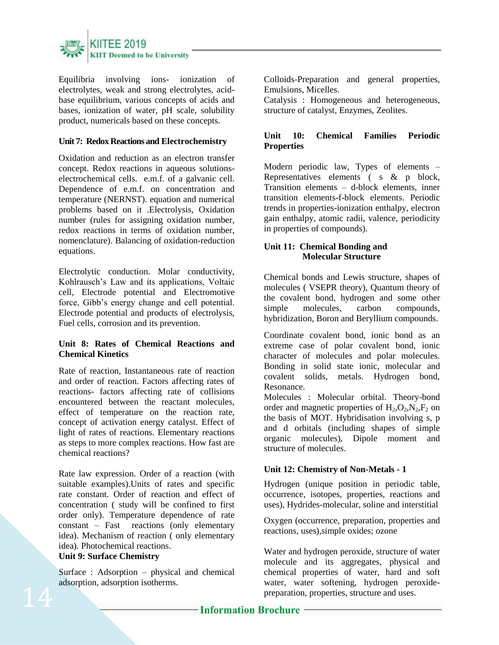

Equilibria involving ions- ionization of electrolytes, weak and strong electrolytes, acidbase equilibrium, various concepts of acids and bases, ionization of water, pH scale, solubility product, numericals based on these concepts.

### **Unit 7: Redox Reactions and Electrochemistry**

Oxidation and reduction as an electron transfer concept. Redox reactions in aqueous solutionselectrochemical cells. e.m.f. of a galvanic cell. Dependence of e.m.f. on concentration and temperature (NERNST). equation and numerical problems based on it .Electrolysis, Oxidation number (rules for assigning oxidation number, redox reactions in terms of oxidation number, nomenclature). Balancing of oxidation-reduction equations.

Electrolytic conduction. Molar conductivity, Kohlrausch's Law and its applications, Voltaic cell, Electrode potential and Electromotive force, Gibb's energy change and cell potential. Electrode potential and products of electrolysis, Fuel cells, corrosion and its prevention.

### **Unit 8: Rates of Chemical Reactions and Chemical Kinetics**

Rate of reaction, Instantaneous rate of reaction and order of reaction. Factors affecting rates of reactions- factors affecting rate of collisions encountered between the reactant molecules, effect of temperature on the reaction rate, concept of activation energy catalyst. Effect of light of rates of reactions. Elementary reactions as steps to more complex reactions. How fast are chemical reactions?

Rate law expression. Order of a reaction (with suitable examples).Units of rates and specific rate constant. Order of reaction and effect of concentration ( study will be confined to first order only). Temperature dependence of rate constant – Fast reactions (only elementary idea). Mechanism of reaction ( only elementary idea). Photochemical reactions.

# **Unit 9: Surface Chemistry**

Surface : Adsorption – physical and chemical adsorption, adsorption isotherms.

Colloids-Preparation and general properties, Emulsions, Micelles.

Catalysis : Homogeneous and heterogeneous, structure of catalyst, Enzymes, Zeolites.

## **Unit 10: Chemical Families Periodic Properties**

Modern periodic law, Types of elements – Representatives elements ( s & p block, Transition elements – d-block elements, inner transition elements-f-block elements. Periodic trends in properties-ionization enthalpy, electron gain enthalpy, atomic radii, valence, periodicity in properties of compounds).

### **Unit 11: Chemical Bonding and Molecular Structure**

Chemical bonds and Lewis structure, shapes of molecules ( VSEPR theory), Quantum theory of the covalent bond, hydrogen and some other simple molecules, carbon compounds, hybridization, Boron and Beryllium compounds.

Coordinate covalent bond, ionic bond as an extreme case of polar covalent bond, ionic character of molecules and polar molecules. Bonding in solid state ionic, molecular and covalent solids, metals. Hydrogen bond, Resonance.

Molecules : Molecular orbital. Theory-bond order and magnetic properties of  $H_2, O_2, N_2, F_2$  on the basis of MOT. Hybridisation involving s, p and d orbitals (including shapes of simple organic molecules), Dipole moment and structure of molecules.

### **Unit 12: Chemistry of Non-Metals - 1**

Hydrogen (unique position in periodic table, occurrence, isotopes, properties, reactions and uses), Hydrides-molecular, soline and interstitial

Oxygen (occurrence, preparation, properties and reactions, uses),simple oxides; ozone

Water and hydrogen peroxide, structure of water molecule and its aggregates, physical and chemical properties of water, hard and soft water, water softening, hydrogen peroxidepreparation, properties, structure and uses.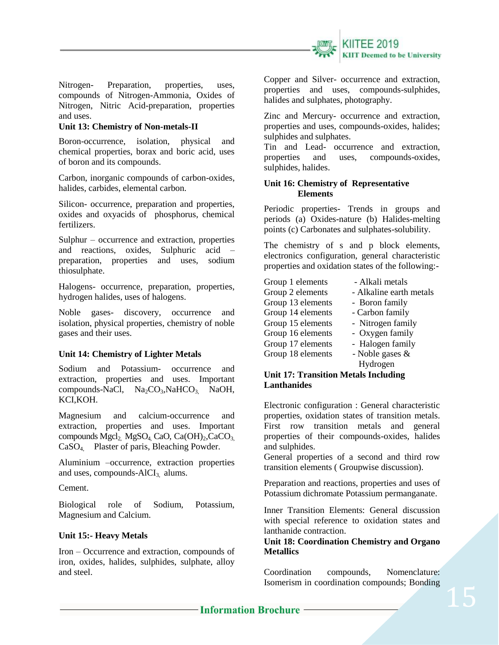

Nitrogen- Preparation, properties, uses, compounds of Nitrogen-Ammonia, Oxides of Nitrogen, Nitric Acid-preparation, properties and uses.

### **Unit 13: Chemistry of Non-metals-II**

Boron-occurrence, isolation, physical and chemical properties, borax and boric acid, uses of boron and its compounds.

Carbon, inorganic compounds of carbon-oxides, halides, carbides, elemental carbon.

Silicon- occurrence, preparation and properties, oxides and oxyacids of phosphorus, chemical fertilizers.

Sulphur – occurrence and extraction, properties and reactions, oxides, Sulphuric acid – preparation, properties and uses, sodium thiosulphate.

Halogens- occurrence, preparation, properties, hydrogen halides, uses of halogens.

Noble gases- discovery, occurrence and isolation, physical properties, chemistry of noble gases and their uses.

### **Unit 14: Chemistry of Lighter Metals**

Sodium and Potassium- occurrence and extraction, properties and uses. Important compounds-NaCl, Na<sub>2</sub>CO<sub>3</sub>,NaHCO<sub>3</sub>, NaOH, KCI,KOH.

Magnesium and calcium-occurrence and extraction, properties and uses. Important compounds Mgcl<sub>2</sub>, MgSO<sub>4</sub>, CaO, Ca(OH)<sub>2</sub>, CaCO<sub>3</sub> CaSO4, Plaster of paris, Bleaching Powder.

Aluminium –occurrence, extraction properties and uses, compounds- $AICI_3$  alums.

Cement.

Biological role of Sodium, Potassium, Magnesium and Calcium.

### **Unit 15:- Heavy Metals**

Iron – Occurrence and extraction, compounds of iron, oxides, halides, sulphides, sulphate, alloy and steel.

Copper and Silver- occurrence and extraction, properties and uses, compounds-sulphides, halides and sulphates, photography.

Zinc and Mercury- occurrence and extraction, properties and uses, compounds-oxides, halides; sulphides and sulphates.

Tin and Lead- occurrence and extraction, properties and uses, compounds-oxides, sulphides, halides.

### **Unit 16: Chemistry of Representative Elements**

Periodic properties- Trends in groups and periods (a) Oxides-nature (b) Halides-melting points (c) Carbonates and sulphates-solubility.

The chemistry of s and p block elements, electronics configuration, general characteristic properties and oxidation states of the following:-

| Group 1 elements  | - Alkali metals         |
|-------------------|-------------------------|
| Group 2 elements  | - Alkaline earth metals |
| Group 13 elements | - Boron family          |
| Group 14 elements | - Carbon family         |
| Group 15 elements | - Nitrogen family       |
| Group 16 elements | - Oxygen family         |
| Group 17 elements | - Halogen family        |
| Group 18 elements | - Noble gases $\&$      |
|                   | Hydrogen                |

#### **Unit 17: Transition Metals Including Lanthanides**

Electronic configuration : General characteristic properties, oxidation states of transition metals. First row transition metals and general properties of their compounds-oxides, halides and sulphides.

General properties of a second and third row transition elements ( Groupwise discussion).

Preparation and reactions, properties and uses of Potassium dichromate Potassium permanganate.

Inner Transition Elements: General discussion with special reference to oxidation states and lanthanide contraction.

### **Unit 18: Coordination Chemistry and Organo Metallics**

Coordination compounds, Nomenclature: Isomerism in coordination compounds; Bonding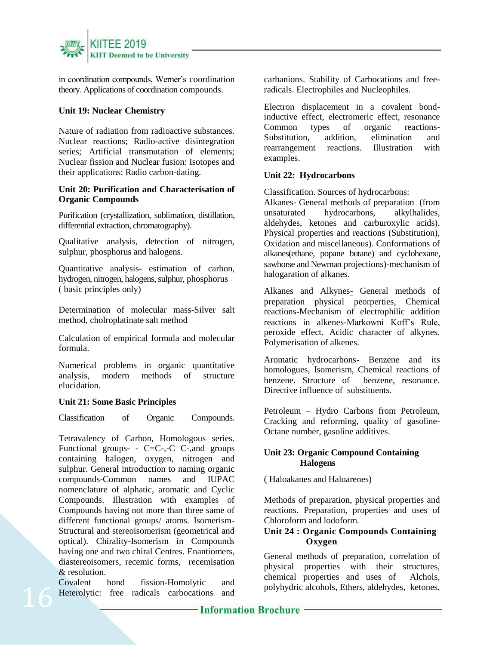

in coordination compounds, Werner's coordination theory. Applications of coordination compounds.

### **Unit 19: Nuclear Chemistry**

Nature of radiation from radioactive substances. Nuclear reactions; Radio-active disintegration series; Artificial transmutation of elements; Nuclear fission and Nuclear fusion: Isotopes and their applications: Radio carbon-dating.

### **Unit 20: Purification and Characterisation of Organic Compounds**

Purification (crystallization, sublimation, distillation, differential extraction, chromatography).

Qualitative analysis, detection of nitrogen, sulphur, phosphorus and halogens.

Quantitative analysis- estimation of carbon, hydrogen, nitrogen, halogens, sulphur, phosphorus ( basic principles only)

Determination of molecular mass-Silver salt method, cholroplatinate salt method

Calculation of empirical formula and molecular formula.

Numerical problems in organic quantitative analysis, modern methods of structure elucidation.

### **Unit 21: Some Basic Principles**

Classification of Organic Compounds.

Tetravalency of Carbon, Homologous series. Functional groups- -  $C=C$ -,-C  $C$ -, and groups containing halogen, oxygen, nitrogen and sulphur. General introduction to naming organic compounds-Common names and IUPAC nomenclature of alphatic, aromatic and Cyclic Compounds. Illustration with examples of Compounds having not more than three same of different functional groups/ atoms. Isomerism-Structural and stereoisomerism (geometrical and optical). Chirality-Isomerism in Compounds having one and two chiral Centres. Enantiomers, diastereoisomers, recemic forms, recemisation & resolution.

Covalent bond fission-Homolytic and Heterolytic: free radicals carbocations and carbanions. Stability of Carbocations and freeradicals. Electrophiles and Nucleophiles.

Electron displacement in a covalent bondinductive effect, electromeric effect, resonance<br>Common types of organic reactions-Common types of organic reactions-Substitution, addition, elimination and rearrangement reactions. Illustration with examples.

### **Unit 22: Hydrocarbons**

Classification. Sources of hydrocarbons:

Alkanes- General methods of preparation (from unsaturated hydrocarbons, alkylhalides, aldehydes, ketones and carburoxylic acids). Physical properties and reactions (Substitution), Oxidation and miscellaneous). Conformations of alkanes(ethane, popane butane) and cyclohexane, sawhorse and Newman projections)-mechanism of halogaration of alkanes.

Alkanes and Alkynes- General methods of preparation physical peorperties, Chemical reactions-Mechanism of electrophilic addition reactions in alkenes-Markowni Koff's Rule, peroxide effect. Acidic character of alkynes. Polymerisation of alkenes.

Aromatic hydrocarbons- Benzene and its homologues, Isomerism, Chemical reactions of benzene. Structure of benzene, resonance. Directive influence of substituents.

Petroleum – Hydro Carbons from Petroleum, Cracking and reforming, quality of gasoline-Octane number, gasoline additives.

### **Unit 23: Organic Compound Containing Halogens**

( Haloakanes and Haloarenes)

Methods of preparation, physical properties and reactions. Preparation, properties and uses of Chloroform and lodoform.

### **Unit 24 : Organic Compounds Containing Oxygen**

General methods of preparation, correlation of physical properties with their structures, chemical properties and uses of Alchols, polyhydric alcohols, Ethers, aldehydes, ketones,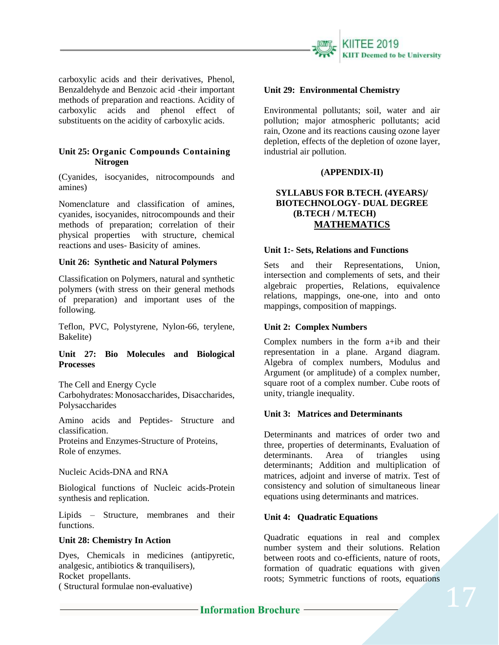

carboxylic acids and their derivatives, Phenol, Benzaldehyde and Benzoic acid -their important methods of preparation and reactions. Acidity of carboxylic acids and phenol effect of substituents on the acidity of carboxylic acids.

### **Unit 25: Organic Compounds Containing Nitrogen**

(Cyanides, isocyanides, nitrocompounds and amines)

Nomenclature and classification of amines, cyanides, isocyanides, nitrocompounds and their methods of preparation; correlation of their physical properties with structure, chemical reactions and uses- Basicity of amines.

### **Unit 26: Synthetic and Natural Polymers**

Classification on Polymers, natural and synthetic polymers (with stress on their general methods of preparation) and important uses of the following.

Teflon, PVC, Polystyrene, Nylon-66, terylene, Bakelite)

### **Unit 27: Bio Molecules and Biological Processes**

The Cell and Energy Cycle

Carbohydrates: Monosaccharides, Disaccharides, Polysaccharides

Amino acids and Peptides- Structure and classification.

Proteins and Enzymes-Structure of Proteins, Role of enzymes.

Nucleic Acids-DNA and RNA

Biological functions of Nucleic acids-Protein synthesis and replication.

Lipids – Structure, membranes and their functions.

### **Unit 28: Chemistry In Action**

Dyes, Chemicals in medicines (antipyretic, analgesic, antibiotics & tranquilisers), Rocket propellants. ( Structural formulae non-evaluative)

### **Unit 29: Environmental Chemistry**

Environmental pollutants; soil, water and air pollution; major atmospheric pollutants; acid rain, Ozone and its reactions causing ozone layer depletion, effects of the depletion of ozone layer, industrial air pollution.

### **(APPENDIX-II)**

### **SYLLABUS FOR B.TECH. (4YEARS)/ BIOTECHNOLOGY- DUAL DEGREE (B.TECH / M.TECH) MATHEMATICS**

#### **Unit 1:- Sets, Relations and Functions**

Sets and their Representations, Union, intersection and complements of sets, and their algebraic properties, Relations, equivalence relations, mappings, one-one, into and onto mappings, composition of mappings.

### **Unit 2: Complex Numbers**

Complex numbers in the form a+ib and their representation in a plane. Argand diagram. Algebra of complex numbers, Modulus and Argument (or amplitude) of a complex number, square root of a complex number. Cube roots of unity, triangle inequality.

### **Unit 3: Matrices and Determinants**

Determinants and matrices of order two and three, properties of determinants, Evaluation of determinants. Area of triangles using determinants; Addition and multiplication of matrices, adjoint and inverse of matrix. Test of consistency and solution of simultaneous linear equations using determinants and matrices.

### **Unit 4: Quadratic Equations**

Quadratic equations in real and complex number system and their solutions. Relation between roots and co-efficients, nature of roots, formation of quadratic equations with given roots; Symmetric functions of roots, equations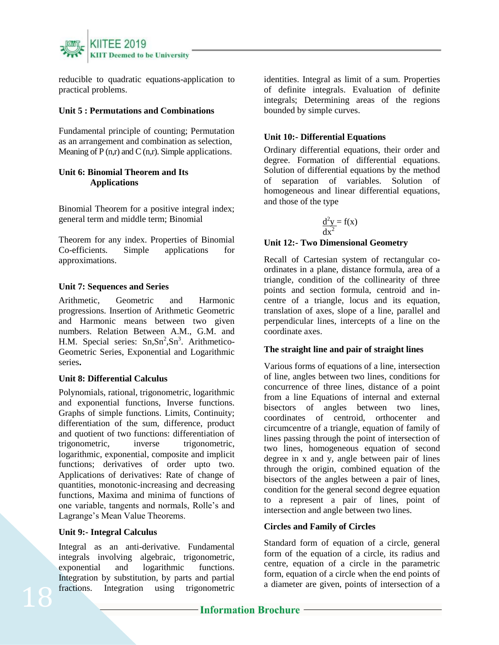

reducible to quadratic equations-application to practical problems.

### **Unit 5 : Permutations and Combinations**

Fundamental principle of counting; Permutation as an arrangement and combination as selection, Meaning of  $P(n,r)$  and  $C(n,r)$ . Simple applications.

### **Unit 6: Binomial Theorem and Its Applications**

Binomial Theorem for a positive integral index; general term and middle term; Binomial

Theorem for any index. Properties of Binomial Co-efficients. Simple applications for approximations.

### **Unit 7: Sequences and Series**

Arithmetic, Geometric and Harmonic progressions. Insertion of Arithmetic Geometric and Harmonic means between two given numbers. Relation Between A.M., G.M. and H.M. Special series:  $Sn, Sn^2, Sn^3$ . Arithmetico-Geometric Series, Exponential and Logarithmic series**.** 

### **Unit 8: Differential Calculus**

Polynomials, rational, trigonometric, logarithmic and exponential functions, Inverse functions. Graphs of simple functions. Limits, Continuity; differentiation of the sum, difference, product and quotient of two functions: differentiation of trigonometric, inverse trigonometric, logarithmic, exponential, composite and implicit functions; derivatives of order upto two. Applications of derivatives: Rate of change of quantities, monotonic-increasing and decreasing functions, Maxima and minima of functions of one variable, tangents and normals, Rolle's and Lagrange's Mean Value Theorems.

### **Unit 9:- Integral Calculus**

Integral as an anti-derivative. Fundamental integrals involving algebraic, trigonometric, exponential and logarithmic functions. Integration by substitution, by parts and partial fractions. Integration using trigonometric

identities. Integral as limit of a sum. Properties of definite integrals. Evaluation of definite integrals; Determining areas of the regions bounded by simple curves.

### **Unit 10:- Differential Equations**

Ordinary differential equations, their order and degree. Formation of differential equations. Solution of differential equations by the method of separation of variables. Solution of homogeneous and linear differential equations, and those of the type

$$
\frac{d^2y}{dx^2} = f(x)
$$

### **Unit 12:- Two Dimensional Geometry**

Recall of Cartesian system of rectangular coordinates in a plane, distance formula, area of a triangle, condition of the collinearity of three points and section formula, centroid and incentre of a triangle, locus and its equation, translation of axes, slope of a line, parallel and perpendicular lines, intercepts of a line on the coordinate axes.

### **The straight line and pair of straight lines**

Various forms of equations of a line, intersection of line, angles between two lines, conditions for concurrence of three lines, distance of a point from a line Equations of internal and external bisectors of angles between two lines, coordinates of centroid, orthocenter and circumcentre of a triangle, equation of family of lines passing through the point of intersection of two lines, homogeneous equation of second degree in x and y, angle between pair of lines through the origin, combined equation of the bisectors of the angles between a pair of lines, condition for the general second degree equation to a represent a pair of lines, point of intersection and angle between two lines.

## **Circles and Family of Circles**

Standard form of equation of a circle, general form of the equation of a circle, its radius and centre, equation of a circle in the parametric form, equation of a circle when the end points of a diameter are given, points of intersection of a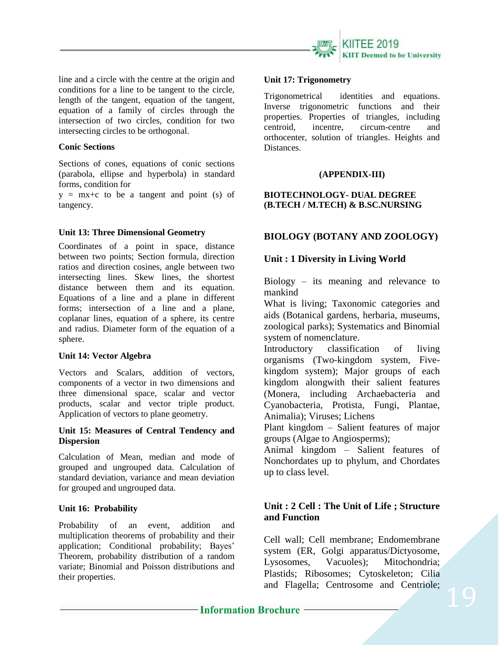

line and a circle with the centre at the origin and conditions for a line to be tangent to the circle, length of the tangent, equation of the tangent, equation of a family of circles through the intersection of two circles, condition for two intersecting circles to be orthogonal.

### **Conic Sections**

Sections of cones, equations of conic sections (parabola, ellipse and hyperbola) in standard forms, condition for

 $y = mx+c$  to be a tangent and point (s) of tangency.

### **Unit 13: Three Dimensional Geometry**

Coordinates of a point in space, distance between two points; Section formula, direction ratios and direction cosines, angle between two intersecting lines. Skew lines, the shortest distance between them and its equation. Equations of a line and a plane in different forms; intersection of a line and a plane, coplanar lines, equation of a sphere, its centre and radius. Diameter form of the equation of a sphere.

### **Unit 14: Vector Algebra**

Vectors and Scalars, addition of vectors, components of a vector in two dimensions and three dimensional space, scalar and vector products, scalar and vector triple product. Application of vectors to plane geometry.

### **Unit 15: Measures of Central Tendency and Dispersion**

Calculation of Mean, median and mode of grouped and ungrouped data. Calculation of standard deviation, variance and mean deviation for grouped and ungrouped data.

## **Unit 16: Probability**

Probability of an event, addition and multiplication theorems of probability and their application; Conditional probability; Bayes' Theorem, probability distribution of a random variate; Binomial and Poisson distributions and their properties.

#### **Unit 17: Trigonometry**

Trigonometrical identities and equations. Inverse trigonometric functions and their properties. Properties of triangles, including centroid, incentre, circum-centre and orthocenter, solution of triangles. Heights and Distances.

### **(APPENDIX-III)**

## **BIOTECHNOLOGY- DUAL DEGREE (B.TECH / M.TECH) & B.SC.NURSING**

# **BIOLOGY (BOTANY AND ZOOLOGY)**

# **Unit : 1 Diversity in Living World**

Biology – its meaning and relevance to mankind

What is living; Taxonomic categories and aids (Botanical gardens, herbaria, museums, zoological parks); Systematics and Binomial system of nomenclature.

Introductory classification of living organisms (Two-kingdom system, Fivekingdom system); Major groups of each kingdom alongwith their salient features (Monera, including Archaebacteria and Cyanobacteria, Protista, Fungi, Plantae, Animalia); Viruses; Lichens

Plant kingdom – Salient features of major groups (Algae to Angiosperms);

Animal kingdom – Salient features of Nonchordates up to phylum, and Chordates up to class level.

# **Unit : 2 Cell : The Unit of Life ; Structure and Function**

Cell wall; Cell membrane; Endomembrane system (ER, Golgi apparatus/Dictyosome, Lysosomes, Vacuoles); Mitochondria; Plastids; Ribosomes; Cytoskeleton; Cilia and Flagella; Centrosome and Centriole;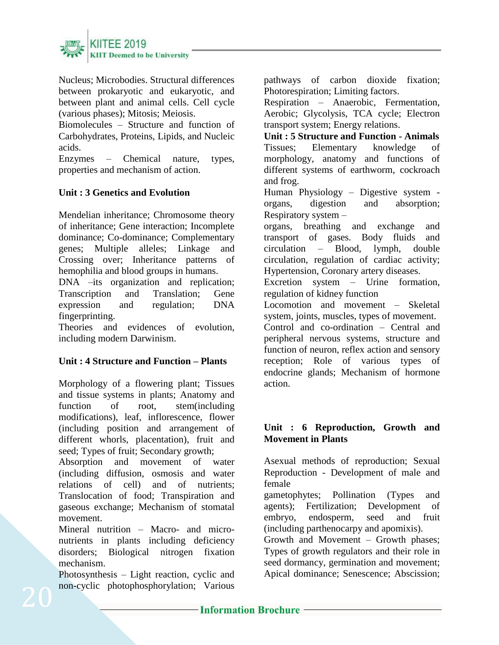

Nucleus; Microbodies. Structural differences between prokaryotic and eukaryotic, and between plant and animal cells. Cell cycle (various phases); Mitosis; Meiosis.

Biomolecules – Structure and function of Carbohydrates, Proteins, Lipids, and Nucleic acids.

Enzymes – Chemical nature, types, properties and mechanism of action.

# **Unit : 3 Genetics and Evolution**

Mendelian inheritance; Chromosome theory of inheritance; Gene interaction; Incomplete dominance; Co-dominance; Complementary genes; Multiple alleles; Linkage and Crossing over; Inheritance patterns of hemophilia and blood groups in humans.

DNA –its organization and replication; Transcription and Translation; Gene expression and regulation; DNA fingerprinting.

Theories and evidences of evolution, including modern Darwinism.

# **Unit : 4 Structure and Function – Plants**

Morphology of a flowering plant; Tissues and tissue systems in plants; Anatomy and function of root, stem(including modifications), leaf, inflorescence, flower (including position and arrangement of different whorls, placentation), fruit and seed; Types of fruit; Secondary growth;

Absorption and movement of water (including diffusion, osmosis and water relations of cell) and of nutrients; Translocation of food; Transpiration and gaseous exchange; Mechanism of stomatal movement.

Mineral nutrition – Macro- and micronutrients in plants including deficiency disorders; Biological nitrogen fixation mechanism.

Photosynthesis – Light reaction, cyclic and non-cyclic photophosphorylation; Various

pathways of carbon dioxide fixation; Photorespiration; Limiting factors.

Respiration – Anaerobic, Fermentation, Aerobic; Glycolysis, TCA cycle; Electron transport system; Energy relations.

**Unit : 5 Structure and Function - Animals** Tissues; Elementary knowledge of morphology, anatomy and functions of different systems of earthworm, cockroach and frog.

Human Physiology – Digestive system organs, digestion and absorption; Respiratory system –

organs, breathing and exchange and transport of gases. Body fluids and circulation – Blood, lymph, double circulation, regulation of cardiac activity; Hypertension, Coronary artery diseases.

Excretion system – Urine formation, regulation of kidney function

Locomotion and movement – Skeletal system, joints, muscles, types of movement.

Control and co-ordination – Central and peripheral nervous systems, structure and function of neuron, reflex action and sensory reception; Role of various types of endocrine glands; Mechanism of hormone action.

# **Unit : 6 Reproduction, Growth and Movement in Plants**

Asexual methods of reproduction; Sexual Reproduction - Development of male and female

gametophytes; Pollination (Types and agents); Fertilization; Development of embryo, endosperm, seed and fruit (including parthenocarpy and apomixis).

Growth and Movement – Growth phases; Types of growth regulators and their role in seed dormancy, germination and movement; Apical dominance; Senescence; Abscission;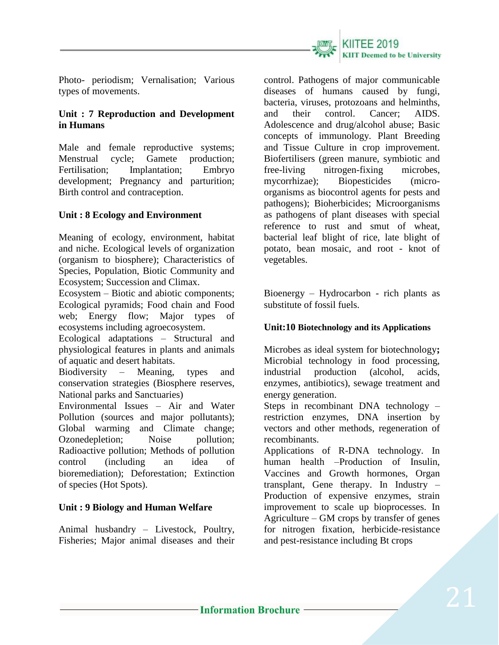

Photo- periodism; Vernalisation; Various types of movements.

# **Unit : 7 Reproduction and Development in Humans**

Male and female reproductive systems; Menstrual cycle; Gamete production; Fertilisation; Implantation; Embryo development; Pregnancy and parturition; Birth control and contraception.

# **Unit : 8 Ecology and Environment**

Meaning of ecology, environment, habitat and niche. Ecological levels of organization (organism to biosphere); Characteristics of Species, Population, Biotic Community and Ecosystem; Succession and Climax.

Ecosystem – Biotic and abiotic components; Ecological pyramids; Food chain and Food web; Energy flow; Major types of ecosystems including agroecosystem.

Ecological adaptations – Structural and physiological features in plants and animals of aquatic and desert habitats.

Biodiversity – Meaning, types and conservation strategies (Biosphere reserves, National parks and Sanctuaries)

Environmental Issues – Air and Water Pollution (sources and major pollutants); Global warming and Climate change; Ozonedepletion; Noise pollution; Radioactive pollution; Methods of pollution control (including an idea of bioremediation); Deforestation; Extinction of species (Hot Spots).

# **Unit : 9 Biology and Human Welfare**

Animal husbandry – Livestock, Poultry, Fisheries; Major animal diseases and their control. Pathogens of major communicable diseases of humans caused by fungi, bacteria, viruses, protozoans and helminths, and their control. Cancer; AIDS. Adolescence and drug/alcohol abuse; Basic concepts of immunology. Plant Breeding and Tissue Culture in crop improvement. Biofertilisers (green manure, symbiotic and free-living nitrogen-fixing microbes, mycorrhizae); Biopesticides (microorganisms as biocontrol agents for pests and pathogens); Bioherbicides; Microorganisms as pathogens of plant diseases with special reference to rust and smut of wheat. bacterial leaf blight of rice, late blight of potato, bean mosaic, and root - knot of vegetables.

Bioenergy – Hydrocarbon - rich plants as substitute of fossil fuels.

# **Unit:10 Biotechnology and its Applications**

Microbes as ideal system for biotechnology**;** Microbial technology in food processing, industrial production (alcohol, acids, enzymes, antibiotics), sewage treatment and energy generation.

Steps in recombinant DNA technology – restriction enzymes, DNA insertion by vectors and other methods, regeneration of recombinants.

Applications of R-DNA technology. In human health –Production of Insulin, Vaccines and Growth hormones, Organ transplant, Gene therapy. In Industry – Production of expensive enzymes, strain improvement to scale up bioprocesses. In Agriculture – GM crops by transfer of genes for nitrogen fixation, herbicide-resistance and pest-resistance including Bt crops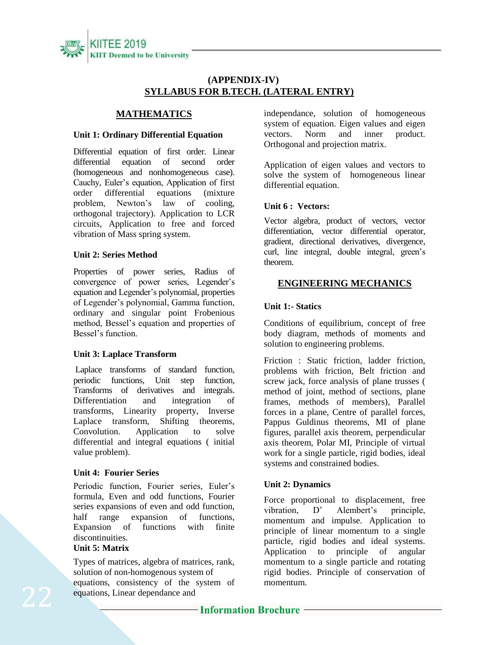

## **(APPENDIX-IV) SYLLABUS FOR B.TECH. (LATERAL ENTRY)**

# **MATHEMATICS**

### **Unit 1: Ordinary Differential Equation**

Differential equation of first order. Linear differential equation of second order (homogeneous and nonhomogeneous case). Cauchy, Euler's equation, Application of first order differential equations (mixture problem, Newton's law of cooling, orthogonal trajectory). Application to LCR circuits, Application to free and forced vibration of Mass spring system.

### **Unit 2: Series Method**

Properties of power series, Radius of convergence of power series, Legender's equation and Legender's polynomial, properties of Legender's polynomial, Gamma function, ordinary and singular point Frobenious method, Bessel's equation and properties of Bessel's function.

### **Unit 3: Laplace Transform**

Laplace transforms of standard function, periodic functions, Unit step function, Transforms of derivatives and integrals. Differentiation and integration of transforms, Linearity property, Inverse Laplace transform, Shifting theorems, Convolution. Application to solve differential and integral equations ( initial value problem).

### **Unit 4: Fourier Series**

Periodic function, Fourier series, Euler's formula, Even and odd functions, Fourier series expansions of even and odd function,<br>half range expansion of functions. half range expansion of functions, Expansion of functions with finite discontinuities.

### **Unit 5: Matrix**

Types of matrices, algebra of matrices, rank, solution of non-homogenous system of equations, consistency of the system of equations, Linear dependance and

independance, solution of homogeneous system of equation. Eigen values and eigen vectors. Norm and inner product. Orthogonal and projection matrix.

Application of eigen values and vectors to solve the system of homogeneous linear differential equation.

### **Unit 6 : Vectors:**

Vector algebra, product of vectors, vector differentiation, vector differential operator, gradient, directional derivatives, divergence, curl, line integral, double integral, green's theorem.

### **ENGINEERING MECHANICS**

### **Unit 1:- Statics**

Conditions of equilibrium, concept of free body diagram, methods of moments and solution to engineering problems.

Friction : Static friction, ladder friction, problems with friction, Belt friction and screw jack, force analysis of plane trusses ( method of joint, method of sections, plane frames, methods of members), Parallel forces in a plane, Centre of parallel forces, Pappus Guldinus theorems, MI of plane figures, parallel axis theorem, perpendicular axis theorem, Polar MI, Principle of virtual work for a single particle, rigid bodies, ideal systems and constrained bodies.

### **Unit 2: Dynamics**

Force proportional to displacement, free vibration, D' Alembert's principle. momentum and impulse. Application to principle of linear momentum to a single particle, rigid bodies and ideal systems. Application to principle of angular momentum to a single particle and rotating rigid bodies. Principle of conservation of momentum.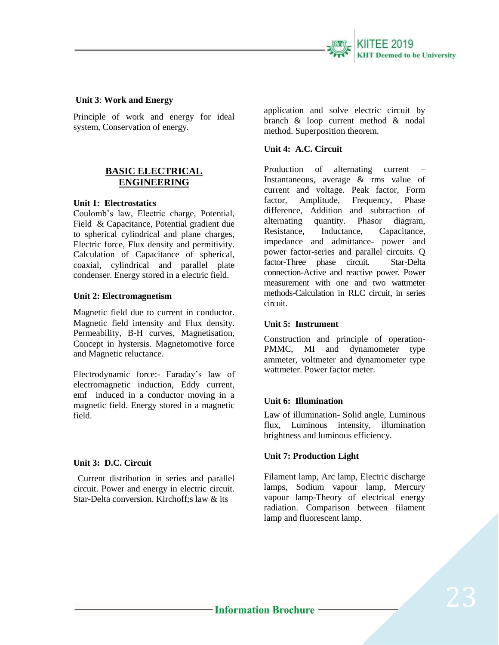

### **Unit 3**: **Work and Energy**

Principle of work and energy for ideal system, Conservation of energy.

## **BASIC ELECTRICAL ENGINEERING**

#### **Unit 1: Electrostatics**

Coulomb's law, Electric charge, Potential, Field & Capacitance, Potential gradient due to spherical cylindrical and plane charges, Electric force, Flux density and permitivity. Calculation of Capacitance of spherical, coaxial, cylindrical and parallel plate condenser. Energy stored in a electric field.

#### **Unit 2: Electromagnetism**

Magnetic field due to current in conductor. Magnetic field intensity and Flux density. Permeability, B-H curves, Magnetisation, Concept in hystersis. Magnetomotive force and Magnetic reluctance.

Electrodynamic force:- Faraday's law of electromagnetic induction, Eddy current, emf induced in a conductor moving in a magnetic field. Energy stored in a magnetic field.

#### **Unit 3: D.C. Circuit**

Current distribution in series and parallel circuit. Power and energy in electric circuit. Star-Delta conversion. Kirchoff;s law & its

application and solve electric circuit by branch & loop current method & nodal method. Superposition theorem.

### **Unit 4: A.C. Circuit**

Production of alternating current – Instantaneous, average & rms value of current and voltage. Peak factor, Form factor, Amplitude, Frequency, Phase difference, Addition and subtraction of alternating quantity. Phasor diagram, Resistance, Inductance, Capacitance, impedance and admittance- power and power factor-series and parallel circuits. Q factor-Three phase circuit. Star-Delta connection-Active and reactive power. Power measurement with one and two wattmeter methods-Calculation in RLC circuit, in series circuit.

### **Unit 5: Instrument**

Construction and principle of operation-PMMC, MI and dynamometer type ammeter, voltmeter and dynamometer type wattmeter. Power factor meter.

### **Unit 6: Illumination**

Law of illumination- Solid angle, Luminous flux, Luminous intensity, illumination brightness and luminous efficiency.

### **Unit 7: Production Light**

Filament lamp, Arc lamp, Electric discharge lamps, Sodium vapour lamp, Mercury vapour lamp-Theory of electrical energy radiation. Comparison between filament lamp and fluorescent lamp.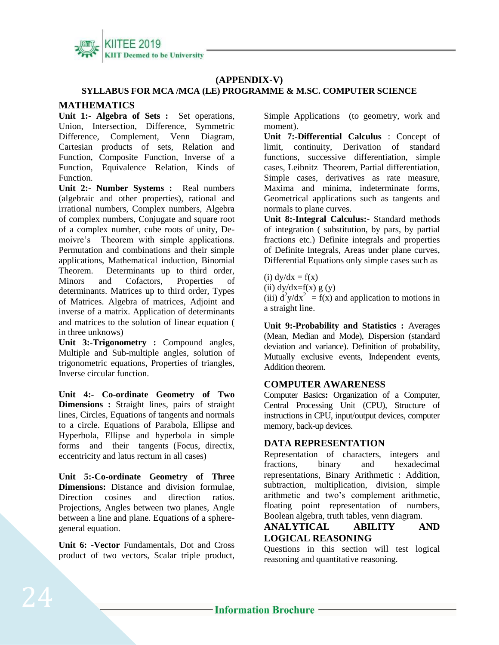

# **(APPENDIX-V)**

### **SYLLABUS FOR MCA /MCA (LE) PROGRAMME & M.SC. COMPUTER SCIENCE**

### **MATHEMATICS**

**Unit 1:- Algebra of Sets :** Set operations, Union, Intersection, Difference, Symmetric Difference, Complement, Venn Diagram, Cartesian products of sets, Relation and Function, Composite Function, Inverse of a Function, Equivalence Relation, Kinds of Function.

**Unit 2:- Number Systems :** Real numbers (algebraic and other properties), rational and irrational numbers, Complex numbers, Algebra of complex numbers, Conjugate and square root of a complex number, cube roots of unity, Demoivre's Theorem with simple applications. Permutation and combinations and their simple applications, Mathematical induction, Binomial Theorem. Determinants up to third order, Minors and Cofactors, Properties of determinants. Matrices up to third order, Types of Matrices. Algebra of matrices, Adjoint and inverse of a matrix. Application of determinants and matrices to the solution of linear equation ( in three unknows)

**Unit 3:-Trigonometry :** Compound angles, Multiple and Sub-multiple angles, solution of trigonometric equations, Properties of triangles, Inverse circular function.

**Unit 4:- Co-ordinate Geometry of Two Dimensions :** Straight lines, pairs of straight lines, Circles, Equations of tangents and normals to a circle. Equations of Parabola, Ellipse and Hyperbola, Ellipse and hyperbola in simple forms and their tangents (Focus, directix, eccentricity and latus rectum in all cases)

**Unit 5:-Co-ordinate Geometry of Three Dimensions:** Distance and division formulae, Direction cosines and direction ratios. Projections, Angles between two planes, Angle between a line and plane. Equations of a spheregeneral equation.

**Unit 6: -Vector** Fundamentals, Dot and Cross product of two vectors, Scalar triple product, Simple Applications (to geometry, work and moment).

**Unit 7:-Differential Calculus** : Concept of limit, continuity, Derivation of standard functions, successive differentiation, simple cases, Leibnitz Theorem, Partial differentiation, Simple cases, derivatives as rate measure, Maxima and minima, indeterminate forms, Geometrical applications such as tangents and normals to plane curves.

**Unit 8:-Integral Calculus:-** Standard methods of integration ( substitution, by pars, by partial fractions etc.) Definite integrals and properties of Definite Integrals, Areas under plane curves, Differential Equations only simple cases such as

(i)  $dy/dx = f(x)$ (ii)  $dy/dx=f(x) g(y)$ (iii)  $d^2y/dx^2 = f(x)$  and application to motions in a straight line.

**Unit 9:-Probability and Statistics :** Averages (Mean, Median and Mode), Dispersion (standard deviation and variance). Definition of probability, Mutually exclusive events, Independent events, Addition theorem.

### **COMPUTER AWARENESS**

Computer Basics**:** Organization of a Computer, Central Processing Unit (CPU), Structure of instructions in CPU, input/output devices, computer memory, back-up devices.

## **DATA REPRESENTATION**

Representation of characters, integers and fractions, binary and hexadecimal representations, Binary Arithmetic : Addition, subtraction, multiplication, division, simple arithmetic and two's complement arithmetic, floating point representation of numbers, Boolean algebra, truth tables, venn diagram.

### **ANALYTICAL ABILITY AND LOGICAL REASONING**

Questions in this section will test logical reasoning and quantitative reasoning.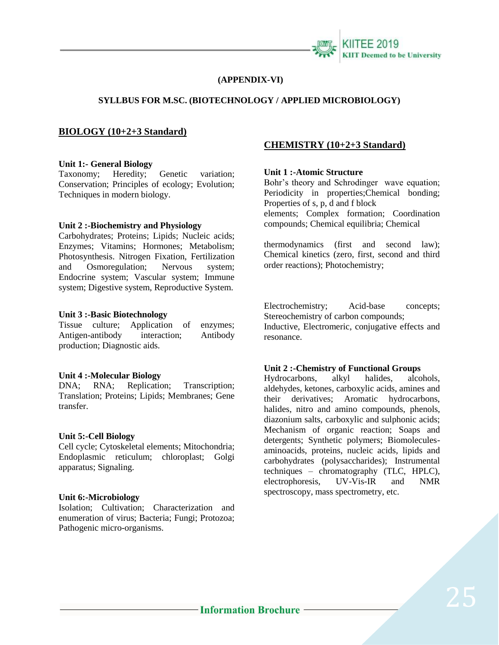

#### **(APPENDIX-VI)**

### **SYLLBUS FOR M.SC. (BIOTECHNOLOGY / APPLIED MICROBIOLOGY)**

### **BIOLOGY (10+2+3 Standard)**

#### **Unit 1:- General Biology**

Taxonomy; Heredity; Genetic variation; Conservation; Principles of ecology; Evolution; Techniques in modern biology.

#### **Unit 2 :-Biochemistry and Physiology**

Carbohydrates; Proteins; Lipids; Nucleic acids; Enzymes; Vitamins; Hormones; Metabolism; Photosynthesis. Nitrogen Fixation, Fertilization and Osmoregulation; Nervous system; Endocrine system; Vascular system; Immune system; Digestive system, Reproductive System.

#### **Unit 3 :-Basic Biotechnology**

Tissue culture; Application of enzymes; Antigen-antibody interaction; Antibody production; Diagnostic aids.

#### **Unit 4 :-Molecular Biology**

DNA; RNA; Replication; Transcription; Translation; Proteins; Lipids; Membranes; Gene transfer.

#### **Unit 5:-Cell Biology**

Cell cycle; Cytoskeletal elements; Mitochondria; Endoplasmic reticulum; chloroplast; Golgi apparatus; Signaling.

#### **Unit 6:-Microbiology**

Isolation; Cultivation; Characterization and enumeration of virus; Bacteria; Fungi; Protozoa; Pathogenic micro-organisms.

### **CHEMISTRY (10+2+3 Standard)**

#### **Unit 1 :-Atomic Structure**

Bohr's theory and Schrodinger wave equation; Periodicity in properties;Chemical bonding; Properties of s, p, d and f block elements; Complex formation; Coordination compounds; Chemical equilibria; Chemical

thermodynamics (first and second law); Chemical kinetics (zero, first, second and third order reactions); Photochemistry;

Electrochemistry; Acid-base concepts; Stereochemistry of carbon compounds;

Inductive, Electromeric, conjugative effects and resonance.

#### **Unit 2 :-Chemistry of Functional Groups**

Hydrocarbons, alkyl halides, alcohols, aldehydes, ketones, carboxylic acids, amines and their derivatives; Aromatic hydrocarbons, halides, nitro and amino compounds, phenols, diazonium salts, carboxylic and sulphonic acids; Mechanism of organic reaction; Soaps and detergents; Synthetic polymers; Biomoleculesaminoacids, proteins, nucleic acids, lipids and carbohydrates (polysaccharides); Instrumental techniques – chromatography (TLC, HPLC), electrophoresis, UV-Vis-IR and NMR spectroscopy, mass spectrometry, etc.